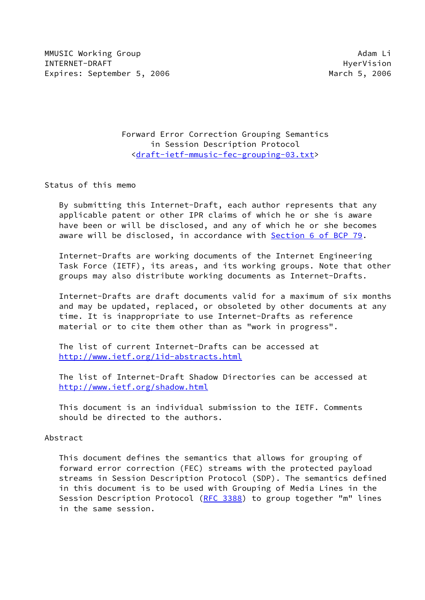MMUSIC Working Group and the control of the control of the control of the control of the control of the control of the control of the control of the control of the control of the control of the control of the control of th INTERNET-DRAFT HyerVision Expires: September 5, 2006 March 5, 2006

 Forward Error Correction Grouping Semantics in Session Description Protocol [<draft-ietf-mmusic-fec-grouping-03.txt](https://datatracker.ietf.org/doc/pdf/draft-ietf-mmusic-fec-grouping-03.txt)>

Status of this memo

 By submitting this Internet-Draft, each author represents that any applicable patent or other IPR claims of which he or she is aware have been or will be disclosed, and any of which he or she becomes aware will be disclosed, in accordance with Section [6 of BCP 79.](https://datatracker.ietf.org/doc/pdf/bcp79#section-6)

 Internet-Drafts are working documents of the Internet Engineering Task Force (IETF), its areas, and its working groups. Note that other groups may also distribute working documents as Internet-Drafts.

 Internet-Drafts are draft documents valid for a maximum of six months and may be updated, replaced, or obsoleted by other documents at any time. It is inappropriate to use Internet-Drafts as reference material or to cite them other than as "work in progress".

 The list of current Internet-Drafts can be accessed at <http://www.ietf.org/1id-abstracts.html>

 The list of Internet-Draft Shadow Directories can be accessed at <http://www.ietf.org/shadow.html>

 This document is an individual submission to the IETF. Comments should be directed to the authors.

Abstract

 This document defines the semantics that allows for grouping of forward error correction (FEC) streams with the protected payload streams in Session Description Protocol (SDP). The semantics defined in this document is to be used with Grouping of Media Lines in the Session Description Protocol [\(RFC 3388](https://datatracker.ietf.org/doc/pdf/rfc3388)) to group together "m" lines in the same session.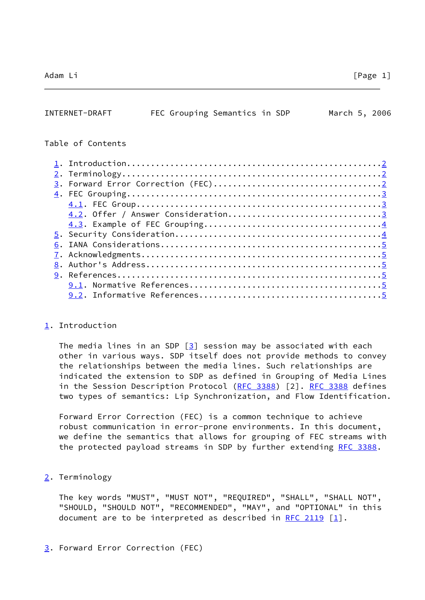<span id="page-1-1"></span>

| INTERNET-DRAFT    | FEC Grouping Semantics in SDP      |  | March 5, 2006 |  |
|-------------------|------------------------------------|--|---------------|--|
| Table of Contents |                                    |  |               |  |
|                   |                                    |  |               |  |
|                   |                                    |  |               |  |
|                   |                                    |  |               |  |
|                   |                                    |  |               |  |
|                   |                                    |  |               |  |
|                   | 4.2. Offer / Answer Consideration3 |  |               |  |
|                   |                                    |  |               |  |
|                   |                                    |  |               |  |
|                   |                                    |  |               |  |
|                   |                                    |  |               |  |

 [8.](#page-5-1) Author's Address.................................................[5](#page-4-2) [9.](#page-5-2) References.......................................................[5](#page-4-2) [9.1](#page-5-3). Normative References........................................[5](#page-4-2) [9.2](#page-5-4). Informative References......................................[5](#page-4-2)

#### <span id="page-1-0"></span>[1](#page-1-0). Introduction

The media lines in an SDP  $[3]$  $[3]$  session may be associated with each other in various ways. SDP itself does not provide methods to convey the relationships between the media lines. Such relationships are indicated the extension to SDP as defined in Grouping of Media Lines in the Session Description Protocol [\(RFC 3388](https://datatracker.ietf.org/doc/pdf/rfc3388)) [2]. [RFC 3388](https://datatracker.ietf.org/doc/pdf/rfc3388) defines two types of semantics: Lip Synchronization, and Flow Identification.

 Forward Error Correction (FEC) is a common technique to achieve robust communication in error-prone environments. In this document, we define the semantics that allows for grouping of FEC streams with the protected payload streams in SDP by further extending [RFC 3388](https://datatracker.ietf.org/doc/pdf/rfc3388).

<span id="page-1-2"></span>[2](#page-1-2). Terminology

 The key words "MUST", "MUST NOT", "REQUIRED", "SHALL", "SHALL NOT", "SHOULD, "SHOULD NOT", "RECOMMENDED", "MAY", and "OPTIONAL" in this document are to be interpreted as described in [RFC 2119](https://datatracker.ietf.org/doc/pdf/rfc2119)  $\lceil 1 \rceil$ .

<span id="page-1-3"></span>[3](#page-1-3). Forward Error Correction (FEC)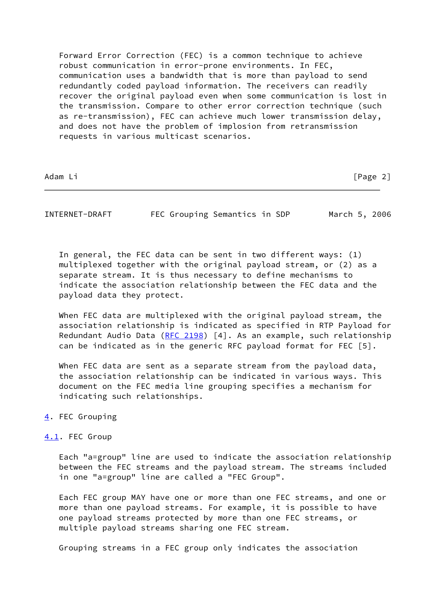Forward Error Correction (FEC) is a common technique to achieve robust communication in error-prone environments. In FEC, communication uses a bandwidth that is more than payload to send redundantly coded payload information. The receivers can readily recover the original payload even when some communication is lost in the transmission. Compare to other error correction technique (such as re-transmission), FEC can achieve much lower transmission delay, and does not have the problem of implosion from retransmission requests in various multicast scenarios.

Adam Li [Page 2]

<span id="page-2-1"></span>INTERNET-DRAFT FEC Grouping Semantics in SDP March 5, 2006

 In general, the FEC data can be sent in two different ways: (1) multiplexed together with the original payload stream, or (2) as a separate stream. It is thus necessary to define mechanisms to indicate the association relationship between the FEC data and the payload data they protect.

 When FEC data are multiplexed with the original payload stream, the association relationship is indicated as specified in RTP Payload for Redundant Audio Data [\(RFC 2198](https://datatracker.ietf.org/doc/pdf/rfc2198)) [4]. As an example, such relationship can be indicated as in the generic RFC payload format for FEC [5].

When FEC data are sent as a separate stream from the payload data, the association relationship can be indicated in various ways. This document on the FEC media line grouping specifies a mechanism for indicating such relationships.

# <span id="page-2-0"></span>[4](#page-2-0). FEC Grouping

# <span id="page-2-2"></span>[4.1](#page-2-2). FEC Group

 Each "a=group" line are used to indicate the association relationship between the FEC streams and the payload stream. The streams included in one "a=group" line are called a "FEC Group".

 Each FEC group MAY have one or more than one FEC streams, and one or more than one payload streams. For example, it is possible to have one payload streams protected by more than one FEC streams, or multiple payload streams sharing one FEC stream.

Grouping streams in a FEC group only indicates the association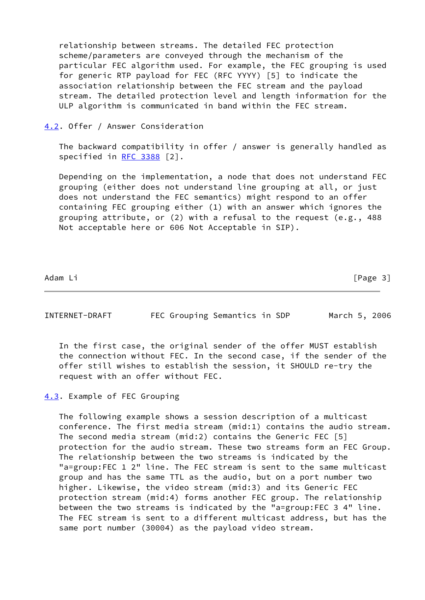relationship between streams. The detailed FEC protection scheme/parameters are conveyed through the mechanism of the particular FEC algorithm used. For example, the FEC grouping is used for generic RTP payload for FEC (RFC YYYY) [5] to indicate the association relationship between the FEC stream and the payload stream. The detailed protection level and length information for the ULP algorithm is communicated in band within the FEC stream.

# <span id="page-3-0"></span>[4.2](#page-3-0). Offer / Answer Consideration

 The backward compatibility in offer / answer is generally handled as specified in [RFC 3388](https://datatracker.ietf.org/doc/pdf/rfc3388) [2].

 Depending on the implementation, a node that does not understand FEC grouping (either does not understand line grouping at all, or just does not understand the FEC semantics) might respond to an offer containing FEC grouping either (1) with an answer which ignores the grouping attribute, or (2) with a refusal to the request (e.g., 488 Not acceptable here or 606 Not Acceptable in SIP).

Adam Li [Page 3]

<span id="page-3-2"></span>

| INTERNET-DRAFT | FEC Grouping Semantics in SDP |  | March 5, 2006 |  |
|----------------|-------------------------------|--|---------------|--|
|                |                               |  |               |  |

 In the first case, the original sender of the offer MUST establish the connection without FEC. In the second case, if the sender of the offer still wishes to establish the session, it SHOULD re-try the request with an offer without FEC.

## <span id="page-3-1"></span>[4.3](#page-3-1). Example of FEC Grouping

 The following example shows a session description of a multicast conference. The first media stream (mid:1) contains the audio stream. The second media stream (mid:2) contains the Generic FEC [5] protection for the audio stream. These two streams form an FEC Group. The relationship between the two streams is indicated by the "a=group:FEC 1 2" line. The FEC stream is sent to the same multicast group and has the same TTL as the audio, but on a port number two higher. Likewise, the video stream (mid:3) and its Generic FEC protection stream (mid:4) forms another FEC group. The relationship between the two streams is indicated by the "a=group:FEC 3 4" line. The FEC stream is sent to a different multicast address, but has the same port number (30004) as the payload video stream.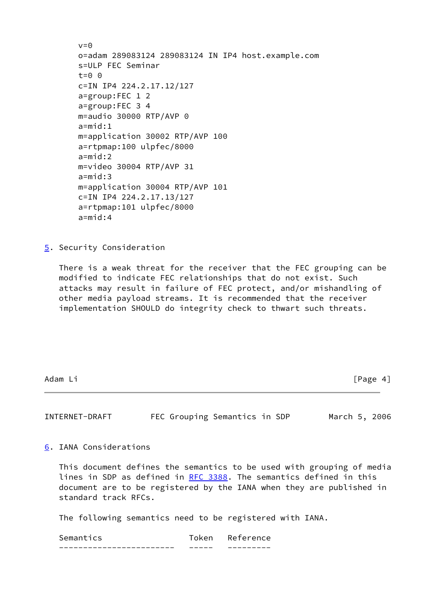```
v=0 o=adam 289083124 289083124 IN IP4 host.example.com
 s=ULP FEC Seminar
t=0 \theta c=IN IP4 224.2.17.12/127
 a=group:FEC 1 2
 a=group:FEC 3 4
 m=audio 30000 RTP/AVP 0
a = mid:1 m=application 30002 RTP/AVP 100
 a=rtpmap:100 ulpfec/8000
 a=mid:2
 m=video 30004 RTP/AVP 31
 a=mid:3
 m=application 30004 RTP/AVP 101
 c=IN IP4 224.2.17.13/127
 a=rtpmap:101 ulpfec/8000
 a=mid:4
```
<span id="page-4-0"></span>[5](#page-4-0). Security Consideration

 There is a weak threat for the receiver that the FEC grouping can be modified to indicate FEC relationships that do not exist. Such attacks may result in failure of FEC protect, and/or mishandling of other media payload streams. It is recommended that the receiver implementation SHOULD do integrity check to thwart such threats.

Adam Li **Francisco Community** Contract Community Community Community Community Community Community Community Community Community Community Community Community Community Community Community Community Community Community Com

<span id="page-4-2"></span>

| INTERNET-DRAFT | FEC Grouping Semantics in SDP |  |  | March 5, 2006 |  |
|----------------|-------------------------------|--|--|---------------|--|
|----------------|-------------------------------|--|--|---------------|--|

<span id="page-4-1"></span>[6](#page-4-1). IANA Considerations

 This document defines the semantics to be used with grouping of media lines in SDP as defined in [RFC 3388.](https://datatracker.ietf.org/doc/pdf/rfc3388) The semantics defined in this document are to be registered by the IANA when they are published in standard track RFCs.

The following semantics need to be registered with IANA.

| Semantics | Reterence |
|-----------|-----------|
|           |           |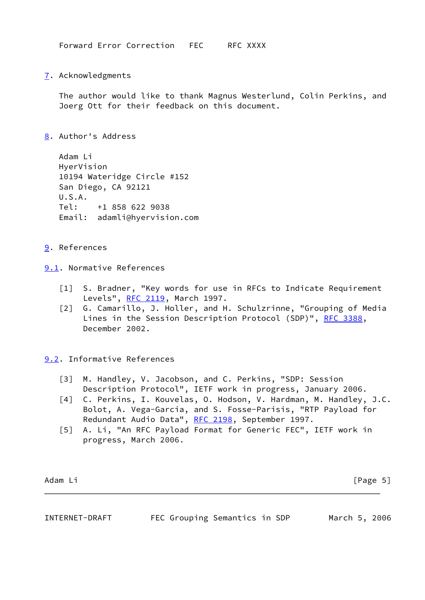Forward Error Correction FEC RFC XXXX

<span id="page-5-0"></span>[7](#page-5-0). Acknowledgments

 The author would like to thank Magnus Westerlund, Colin Perkins, and Joerg Ott for their feedback on this document.

<span id="page-5-1"></span>[8](#page-5-1). Author's Address

 Adam Li HyerVision 10194 Wateridge Circle #152 San Diego, CA 92121 U.S.A. Tel: +1 858 622 9038 Email: adamli@hyervision.com

- <span id="page-5-2"></span>[9](#page-5-2). References
- <span id="page-5-6"></span><span id="page-5-3"></span>[9.1](#page-5-3). Normative References
	- [1] S. Bradner, "Key words for use in RFCs to Indicate Requirement Levels", [RFC 2119](https://datatracker.ietf.org/doc/pdf/rfc2119), March 1997.
	- [2] G. Camarillo, J. Holler, and H. Schulzrinne, "Grouping of Media Lines in the Session Description Protocol (SDP)", [RFC 3388,](https://datatracker.ietf.org/doc/pdf/rfc3388) December 2002.

<span id="page-5-4"></span>[9.2](#page-5-4). Informative References

- <span id="page-5-5"></span> [3] M. Handley, V. Jacobson, and C. Perkins, "SDP: Session Description Protocol", IETF work in progress, January 2006.
- [4] C. Perkins, I. Kouvelas, O. Hodson, V. Hardman, M. Handley, J.C. Bolot, A. Vega-Garcia, and S. Fosse-Parisis, "RTP Payload for Redundant Audio Data", [RFC 2198,](https://datatracker.ietf.org/doc/pdf/rfc2198) September 1997.
- [5] A. Li, "An RFC Payload Format for Generic FEC", IETF work in progress, March 2006.

Adam Li [Page 5]

INTERNET-DRAFT FEC Grouping Semantics in SDP March 5, 2006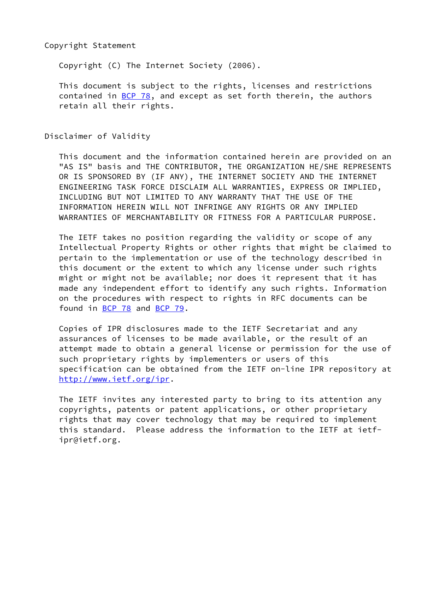### Copyright Statement

Copyright (C) The Internet Society (2006).

 This document is subject to the rights, licenses and restrictions contained in  $\underline{BCP}$  78, and except as set forth therein, the authors retain all their rights.

Disclaimer of Validity

 This document and the information contained herein are provided on an "AS IS" basis and THE CONTRIBUTOR, THE ORGANIZATION HE/SHE REPRESENTS OR IS SPONSORED BY (IF ANY), THE INTERNET SOCIETY AND THE INTERNET ENGINEERING TASK FORCE DISCLAIM ALL WARRANTIES, EXPRESS OR IMPLIED, INCLUDING BUT NOT LIMITED TO ANY WARRANTY THAT THE USE OF THE INFORMATION HEREIN WILL NOT INFRINGE ANY RIGHTS OR ANY IMPLIED WARRANTIES OF MERCHANTABILITY OR FITNESS FOR A PARTICULAR PURPOSE.

 The IETF takes no position regarding the validity or scope of any Intellectual Property Rights or other rights that might be claimed to pertain to the implementation or use of the technology described in this document or the extent to which any license under such rights might or might not be available; nor does it represent that it has made any independent effort to identify any such rights. Information on the procedures with respect to rights in RFC documents can be found in [BCP 78](https://datatracker.ietf.org/doc/pdf/bcp78) and [BCP 79](https://datatracker.ietf.org/doc/pdf/bcp79).

 Copies of IPR disclosures made to the IETF Secretariat and any assurances of licenses to be made available, or the result of an attempt made to obtain a general license or permission for the use of such proprietary rights by implementers or users of this specification can be obtained from the IETF on-line IPR repository at <http://www.ietf.org/ipr>.

 The IETF invites any interested party to bring to its attention any copyrights, patents or patent applications, or other proprietary rights that may cover technology that may be required to implement this standard. Please address the information to the IETF at ietf ipr@ietf.org.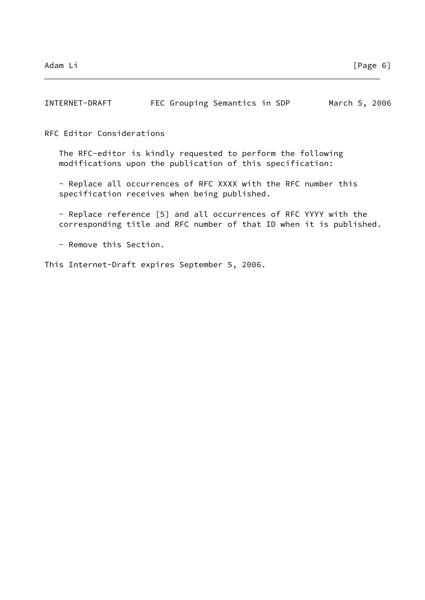| INTERNET-DRAFT |  | FEC Grouping Semantics in SDP |  | March 5, 2006 |  |
|----------------|--|-------------------------------|--|---------------|--|
|                |  |                               |  |               |  |

RFC Editor Considerations

 The RFC-editor is kindly requested to perform the following modifications upon the publication of this specification:

 - Replace all occurrences of RFC XXXX with the RFC number this specification receives when being published.

 - Replace reference [5] and all occurrences of RFC YYYY with the corresponding title and RFC number of that ID when it is published.

- Remove this Section.

This Internet-Draft expires September 5, 2006.